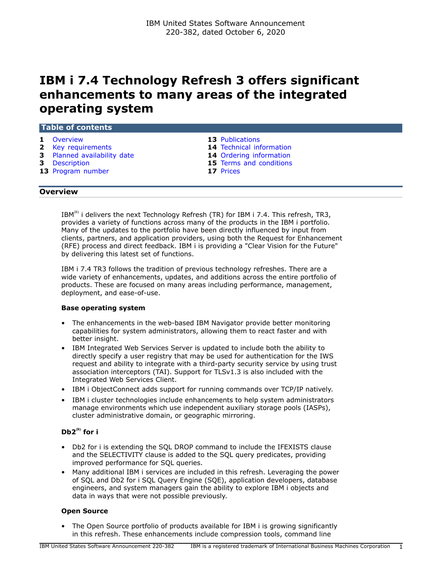# **IBM i 7.4 Technology Refresh 3 offers significant enhancements to many areas of the integrated operating system**

| 1 Overview                  | <b>13</b> Publications          |
|-----------------------------|---------------------------------|
| 2 Key requirements          | <b>14</b> Technical information |
| 3 Planned availability date | 14 Ordering information         |
| <b>3</b> Description        | 15 Terms and conditions         |
| 13 Program number           | 17 Prices                       |

## <span id="page-0-0"></span>**Overview**

IBM<sup>(R)</sup> i delivers the next Technology Refresh (TR) for IBM i 7.4. This refresh, TR3, provides a variety of functions across many of the products in the IBM i portfolio. Many of the updates to the portfolio have been directly influenced by input from clients, partners, and application providers, using both the Request for Enhancement (RFE) process and direct feedback. IBM i is providing a "Clear Vision for the Future" by delivering this latest set of functions.

IBM i 7.4 TR3 follows the tradition of previous technology refreshes. There are a wide variety of enhancements, updates, and additions across the entire portfolio of products. These are focused on many areas including performance, management, deployment, and ease-of-use.

### **Base operating system**

- The enhancements in the web-based IBM Navigator provide better monitoring capabilities for system administrators, allowing them to react faster and with better insight.
- IBM Integrated Web Services Server is updated to include both the ability to directly specify a user registry that may be used for authentication for the IWS request and ability to integrate with a third-party security service by using trust association interceptors (TAI). Support for TLSv1.3 is also included with the Integrated Web Services Client.
- IBM i ObjectConnect adds support for running commands over TCP/IP natively.
- IBM i cluster technologies include enhancements to help system administrators manage environments which use independent auxiliary storage pools (IASPs), cluster administrative domain, or geographic mirroring.

# **Db2(R) for i**

- Db2 for i is extending the SQL DROP command to include the IFEXISTS clause and the SELECTIVITY clause is added to the SQL query predicates, providing improved performance for SQL queries.
- Many additional IBM i services are included in this refresh. Leveraging the power of SQL and Db2 for i SQL Query Engine (SQE), application developers, database engineers, and system managers gain the ability to explore IBM i objects and data in ways that were not possible previously.

# **Open Source**

• The Open Source portfolio of products available for IBM i is growing significantly in this refresh. These enhancements include compression tools, command line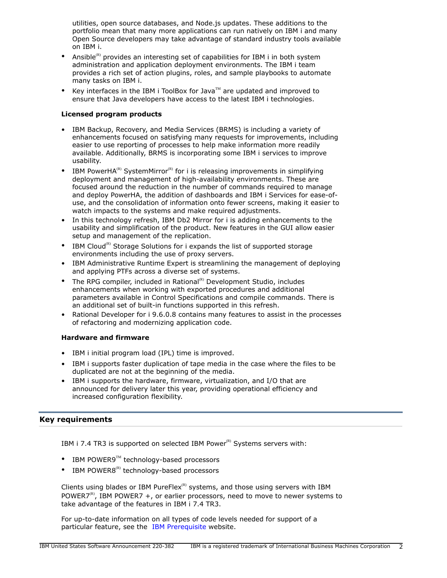utilities, open source databases, and Node.js updates. These additions to the portfolio mean that many more applications can run natively on IBM i and many Open Source developers may take advantage of standard industry tools available on IBM i.

- Ansible<sup>(R)</sup> provides an interesting set of capabilities for IBM i in both system administration and application deployment environments. The IBM i team provides a rich set of action plugins, roles, and sample playbooks to automate many tasks on IBM i.
- Key interfaces in the IBM i ToolBox for Java $\mathbb{I}^{\mathbb{M}}$  are updated and improved to ensure that Java developers have access to the latest IBM i technologies.

# **Licensed program products**

- IBM Backup, Recovery, and Media Services (BRMS) is including a variety of enhancements focused on satisfying many requests for improvements, including easier to use reporting of processes to help make information more readily available. Additionally, BRMS is incorporating some IBM i services to improve usability.
- IBM PowerHA<sup>(R)</sup> SystemMirror<sup>(R)</sup> for i is releasing improvements in simplifying deployment and management of high-availability environments. These are focused around the reduction in the number of commands required to manage and deploy PowerHA, the addition of dashboards and IBM i Services for ease-ofuse, and the consolidation of information onto fewer screens, making it easier to watch impacts to the systems and make required adjustments.
- In this technology refresh, IBM Db2 Mirror for i is adding enhancements to the usability and simplification of the product. New features in the GUI allow easier setup and management of the replication.
- IBM Cloud<sup>(R)</sup> Storage Solutions for i expands the list of supported storage environments including the use of proxy servers.
- IBM Administrative Runtime Expert is streamlining the management of deploying and applying PTFs across a diverse set of systems.
- The RPG compiler, included in Rational<sup>(R)</sup> Development Studio, includes enhancements when working with exported procedures and additional parameters available in Control Specifications and compile commands. There is an additional set of built-in functions supported in this refresh.
- Rational Developer for i 9.6.0.8 contains many features to assist in the processes of refactoring and modernizing application code.

# **Hardware and firmware**

- IBM i initial program load (IPL) time is improved.
- IBM i supports faster duplication of tape media in the case where the files to be duplicated are not at the beginning of the media.
- IBM i supports the hardware, firmware, virtualization, and I/O that are announced for delivery later this year, providing operational efficiency and increased configuration flexibility.

# <span id="page-1-0"></span>**Key requirements**

IBM i 7.4 TR3 is supported on selected IBM Power ${}^{\text{\tiny(R)}}$  Systems servers with:

- IBM POWER9 $^{TM}$  technology-based processors
- IBM POWER8 $^{(R)}$  technology-based processors

Clients using blades or IBM PureFlex $R$ ) systems, and those using servers with IBM POWER7(R), IBM POWER7 +, or earlier processors, need to move to newer systems to take advantage of the features in IBM i 7.4 TR3.

For up-to-date information on all types of code levels needed for support of a particular feature, see the [IBM Prerequisite](https://www.ibm.com/support/customercare/iprt/home) website.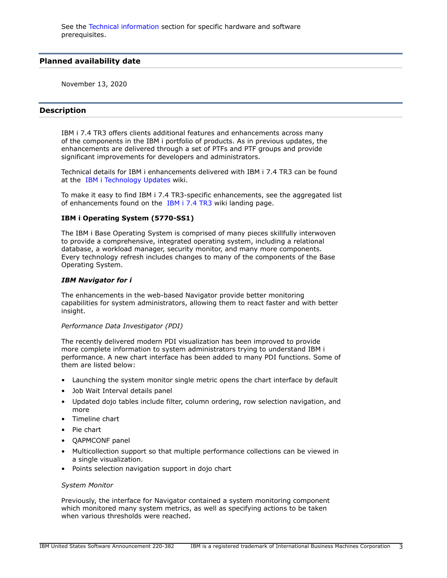# <span id="page-2-0"></span>**Planned availability date**

November 13, 2020

# <span id="page-2-1"></span>**Description**

IBM i 7.4 TR3 offers clients additional features and enhancements across many of the components in the IBM i portfolio of products. As in previous updates, the enhancements are delivered through a set of PTFs and PTF groups and provide significant improvements for developers and administrators.

Technical details for IBM i enhancements delivered with IBM i 7.4 TR3 can be found at the [IBM i Technology Updates](https://www.ibm.com/support/pages/node/1119129) wiki.

To make it easy to find IBM i 7.4 TR3-specific enhancements, see the aggregated list of enhancements found on the [IBM i 7.4 TR3](https://www.ibm.com/ibmi/techupdates/i74-TR3) wiki landing page.

### **IBM i Operating System (5770-SS1)**

The IBM i Base Operating System is comprised of many pieces skillfully interwoven to provide a comprehensive, integrated operating system, including a relational database, a workload manager, security monitor, and many more components. Every technology refresh includes changes to many of the components of the Base Operating System.

#### *IBM Navigator for i*

The enhancements in the web-based Navigator provide better monitoring capabilities for system administrators, allowing them to react faster and with better insight.

#### *Performance Data Investigator (PDI)*

The recently delivered modern PDI visualization has been improved to provide more complete information to system administrators trying to understand IBM i performance. A new chart interface has been added to many PDI functions. Some of them are listed below:

- Launching the system monitor single metric opens the chart interface by default
- Job Wait Interval details panel
- Updated dojo tables include filter, column ordering, row selection navigation, and more
- Timeline chart
- Pie chart
- QAPMCONF panel
- Multicollection support so that multiple performance collections can be viewed in a single visualization.
- Points selection navigation support in dojo chart

#### *System Monitor*

Previously, the interface for Navigator contained a system monitoring component which monitored many system metrics, as well as specifying actions to be taken when various thresholds were reached.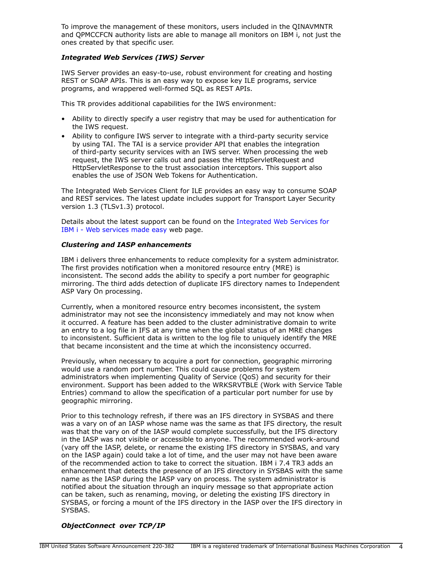To improve the management of these monitors, users included in the QINAVMNTR and QPMCCFCN authority lists are able to manage all monitors on IBM i, not just the ones created by that specific user.

## *Integrated Web Services (IWS) Server*

IWS Server provides an easy-to-use, robust environment for creating and hosting REST or SOAP APIs. This is an easy way to expose key ILE programs, service programs, and wrappered well-formed SQL as REST APIs.

This TR provides additional capabilities for the IWS environment:

- Ability to directly specify a user registry that may be used for authentication for the IWS request.
- Ability to configure IWS server to integrate with a third-party security service by using TAI. The TAI is a service provider API that enables the integration of third-party security services with an IWS server. When processing the web request, the IWS server calls out and passes the HttpServletRequest and HttpServletResponse to the trust association interceptors. This support also enables the use of JSON Web Tokens for Authentication.

The Integrated Web Services Client for ILE provides an easy way to consume SOAP and REST services. The latest update includes support for Transport Layer Security version 1.3 (TLSv1.3) protocol.

Details about the latest support can be found on the [Integrated Web Services for](https://www.ibm.com/support/pages/integrated-web-services-ibm-i-web-services-made-easy) [IBM i - Web services made easy](https://www.ibm.com/support/pages/integrated-web-services-ibm-i-web-services-made-easy) web page.

## *Clustering and IASP enhancements*

IBM i delivers three enhancements to reduce complexity for a system administrator. The first provides notification when a monitored resource entry (MRE) is inconsistent. The second adds the ability to specify a port number for geographic mirroring. The third adds detection of duplicate IFS directory names to Independent ASP Vary On processing.

Currently, when a monitored resource entry becomes inconsistent, the system administrator may not see the inconsistency immediately and may not know when it occurred. A feature has been added to the cluster administrative domain to write an entry to a log file in IFS at any time when the global status of an MRE changes to inconsistent. Sufficient data is written to the log file to uniquely identify the MRE that became inconsistent and the time at which the inconsistency occurred.

Previously, when necessary to acquire a port for connection, geographic mirroring would use a random port number. This could cause problems for system administrators when implementing Quality of Service (QoS) and security for their environment. Support has been added to the WRKSRVTBLE (Work with Service Table Entries) command to allow the specification of a particular port number for use by geographic mirroring.

Prior to this technology refresh, if there was an IFS directory in SYSBAS and there was a vary on of an IASP whose name was the same as that IFS directory, the result was that the vary on of the IASP would complete successfully, but the IFS directory in the IASP was not visible or accessible to anyone. The recommended work-around (vary off the IASP, delete, or rename the existing IFS directory in SYSBAS, and vary on the IASP again) could take a lot of time, and the user may not have been aware of the recommended action to take to correct the situation. IBM i 7.4 TR3 adds an enhancement that detects the presence of an IFS directory in SYSBAS with the same name as the IASP during the IASP vary on process. The system administrator is notified about the situation through an inquiry message so that appropriate action can be taken, such as renaming, moving, or deleting the existing IFS directory in SYSBAS, or forcing a mount of the IFS directory in the IASP over the IFS directory in SYSBAS.

# *ObjectConnect over TCP/IP*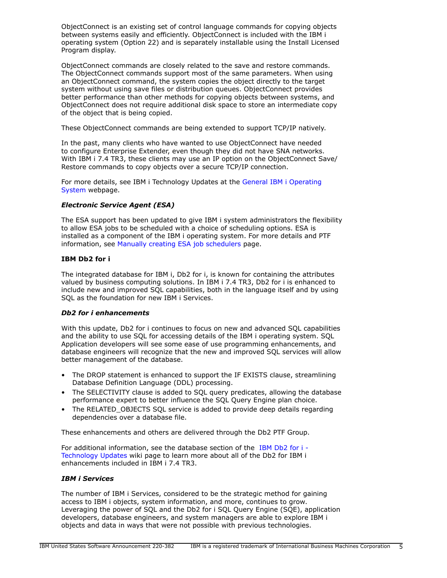ObjectConnect is an existing set of control language commands for copying objects between systems easily and efficiently. ObjectConnect is included with the IBM i operating system (Option 22) and is separately installable using the Install Licensed Program display.

ObjectConnect commands are closely related to the save and restore commands. The ObjectConnect commands support most of the same parameters. When using an ObjectConnect command, the system copies the object directly to the target system without using save files or distribution queues. ObjectConnect provides better performance than other methods for copying objects between systems, and ObjectConnect does not require additional disk space to store an intermediate copy of the object that is being copied.

These ObjectConnect commands are being extended to support TCP/IP natively.

In the past, many clients who have wanted to use ObjectConnect have needed to configure Enterprise Extender, even though they did not have SNA networks. With IBM i 7.4 TR3, these clients may use an IP option on the ObjectConnect Save/ Restore commands to copy objects over a secure TCP/IP connection.

For more details, see IBM i Technology Updates at the [General IBM i Operating](https://www.ibm.com/support/pages/node/1119357) [System](https://www.ibm.com/support/pages/node/1119357) webpage.

# *Electronic Service Agent (ESA)*

The ESA support has been updated to give IBM i system administrators the flexibility to allow ESA jobs to be scheduled with a choice of scheduling options. ESA is installed as a component of the IBM i operating system. For more details and PTF information, see [Manually creating ESA job schedulers](https://www.ibm.com/support/pages/node/635879) page.

# **IBM Db2 for i**

The integrated database for IBM i, Db2 for i, is known for containing the attributes valued by business computing solutions. In IBM i 7.4 TR3, Db2 for i is enhanced to include new and improved SQL capabilities, both in the language itself and by using SQL as the foundation for new IBM i Services.

# *Db2 for i enhancements*

With this update, Db2 for i continues to focus on new and advanced SQL capabilities and the ability to use SQL for accessing details of the IBM i operating system. SQL Application developers will see some ease of use programming enhancements, and database engineers will recognize that the new and improved SQL services will allow better management of the database.

- The DROP statement is enhanced to support the IF EXISTS clause, streamlining Database Definition Language (DDL) processing.
- The SELECTIVITY clause is added to SQL query predicates, allowing the database performance expert to better influence the SQL Query Engine plan choice.
- The RELATED\_OBJECTS SOL service is added to provide deep details regarding dependencies over a database file.

These enhancements and others are delivered through the Db2 PTF Group.

For additional information, see the database section of the [IBM Db2 for i -](http://www.ibm.com/ibmi/techupdates/db2) [Technology Updates](http://www.ibm.com/ibmi/techupdates/db2) wiki page to learn more about all of the Db2 for IBM i enhancements included in IBM i 7.4 TR3.

# *IBM i Services*

The number of IBM i Services, considered to be the strategic method for gaining access to IBM i objects, system information, and more, continues to grow. Leveraging the power of SQL and the Db2 for i SQL Query Engine (SQE), application developers, database engineers, and system managers are able to explore IBM i objects and data in ways that were not possible with previous technologies.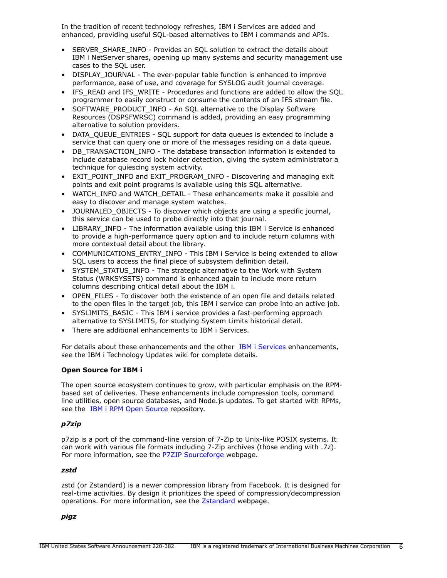In the tradition of recent technology refreshes, IBM i Services are added and enhanced, providing useful SQL-based alternatives to IBM i commands and APIs.

- SERVER SHARE INFO Provides an SOL solution to extract the details about IBM i NetServer shares, opening up many systems and security management use cases to the SQL user.
- DISPLAY JOURNAL The ever-popular table function is enhanced to improve performance, ease of use, and coverage for SYSLOG audit journal coverage.
- IFS\_READ and IFS\_WRITE Procedures and functions are added to allow the SQL programmer to easily construct or consume the contents of an IFS stream file.
- SOFTWARE\_PRODUCT\_INFO An SQL alternative to the Display Software Resources (DSPSFWRSC) command is added, providing an easy programming alternative to solution providers.
- DATA\_QUEUE\_ENTRIES SQL support for data queues is extended to include a service that can query one or more of the messages residing on a data queue.
- DB\_TRANSACTION\_INFO The database transaction information is extended to include database record lock holder detection, giving the system administrator a technique for quiescing system activity.
- EXIT\_POINT\_INFO and EXIT\_PROGRAM\_INFO Discovering and managing exit points and exit point programs is available using this SQL alternative.
- WATCH\_INFO and WATCH\_DETAIL These enhancements make it possible and easy to discover and manage system watches.
- JOURNALED OBJECTS To discover which objects are using a specific journal, this service can be used to probe directly into that journal.
- LIBRARY\_INFO The information available using this IBM i Service is enhanced to provide a high-performance query option and to include return columns with more contextual detail about the library.
- COMMUNICATIONS\_ENTRY\_INFO This IBM i Service is being extended to allow SQL users to access the final piece of subsystem definition detail.
- SYSTEM\_STATUS\_INFO The strategic alternative to the Work with System Status (WRKSYSSTS) command is enhanced again to include more return columns describing critical detail about the IBM i.
- OPEN\_FILES To discover both the existence of an open file and details related to the open files in the target job, this IBM i service can probe into an active job.
- SYSLIMITS\_BASIC This IBM i service provides a fast-performing approach alternative to SYSLIMITS, for studying System Limits historical detail.
- There are additional enhancements to IBM i Services.

For details about these enhancements and the other [IBM i Services](https://www.ibm.com/support/pages/node/1119123) enhancements, see the IBM i Technology Updates wiki for complete details.

# **Open Source for IBM i**

The open source ecosystem continues to grow, with particular emphasis on the RPMbased set of deliveries. These enhancements include compression tools, command line utilities, open source databases, and Node.js updates. To get started with RPMs, see the [IBM i RPM Open Source](http://ibm.biz/ibmi-rpms) repository.

# *p7zip*

p7zip is a port of the command-line version of 7-Zip to Unix-like POSIX systems. It can work with various file formats including 7-Zip archives (those ending with .7z). For more information, see the [P7ZIP Sourceforge](http://p7zip.sourceforge.net/) webpage.

# *zstd*

zstd (or Zstandard) is a newer compression library from Facebook. It is designed for real-time activities. By design it prioritizes the speed of compression/decompression operations. For more information, see the [Zstandard](http://facebook.github.io/zstd) webpage.

# *pigz*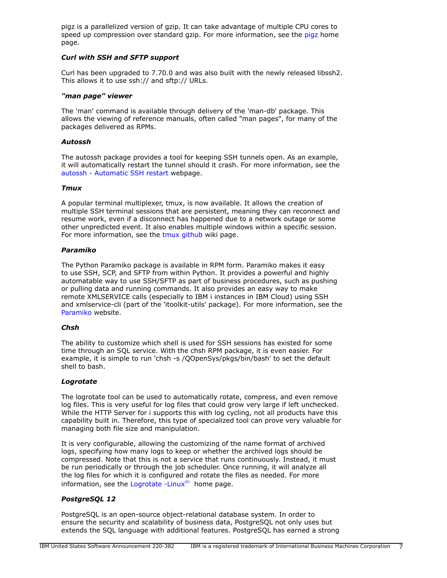pigz is a parallelized version of gzip. It can take advantage of multiple CPU cores to speed up compression over standard gzip. For more information, see the [pigz](https://zlib.net/pigz/) home page.

# *Curl with SSH and SFTP support*

Curl has been upgraded to 7.70.0 and was also built with the newly released libssh2. This allows it to use ssh:// and sftp:// URLs.

### *"man page" viewer*

The 'man' command is available through delivery of the 'man-db' package. This allows the viewing of reference manuals, often called "man pages", for many of the packages delivered as RPMs.

## *Autossh*

The autossh package provides a tool for keeping SSH tunnels open. As an example, it will automatically restart the tunnel should it crash. For more information, see the [autossh - Automatic SSH restart](https://www.harding.motd.ca/autossh/) webpage.

## *Tmux*

A popular terminal multiplexer, tmux, is now available. It allows the creation of multiple SSH terminal sessions that are persistent, meaning they can reconnect and resume work, even if a disconnect has happened due to a network outage or some other unpredicted event. It also enables multiple windows within a specific session. For more information, see the [tmux github](https://github.com/tmux/tmux/wiki) wiki page.

### *Paramiko*

The Python Paramiko package is available in RPM form. Paramiko makes it easy to use SSH, SCP, and SFTP from within Python. It provides a powerful and highly automatable way to use SSH/SFTP as part of business procedures, such as pushing or pulling data and running commands. It also provides an easy way to make remote XMLSERVICE calls (especially to IBM i instances in IBM Cloud) using SSH and xmlservice-cli (part of the 'itoolkit-utils' package). For more information, see the [Paramiko](http://paramiko.org/) website.

### *Chsh*

The ability to customize which shell is used for SSH sessions has existed for some time through an SQL service. With the chsh RPM package, it is even easier. For example, it is simple to run 'chsh -s /QOpenSys/pkgs/bin/bash' to set the default shell to bash.

# *Logrotate*

The logrotate tool can be used to automatically rotate, compress, and even remove log files. This is very useful for log files that could grow very large if left unchecked. While the HTTP Server for i supports this with log cycling, not all products have this capability built in. Therefore, this type of specialized tool can prove very valuable for managing both file size and manipulation.

It is very configurable, allowing the customizing of the name format of archived logs, specifying how many logs to keep or whether the archived logs should be compressed. Note that this is not a service that runs continuously. Instead, it must be run periodically or through the job scheduler. Once running, it will analyze all the log files for which it is configured and rotate the files as needed. For more information, see the [Logrotate -Linux](https://linux.die.net/man/8/logrotate) $<sup>(R)</sup>$  home page.</sup>

# *PostgreSQL 12*

PostgreSQL is an open-source object-relational database system. In order to ensure the security and scalability of business data, PostgreSQL not only uses but extends the SQL language with additional features. PostgreSQL has earned a strong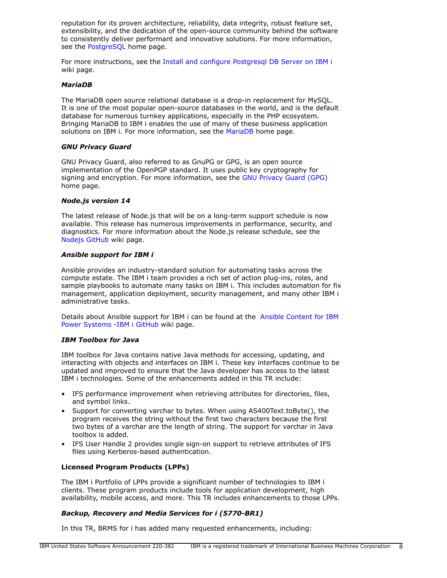reputation for its proven architecture, reliability, data integrity, robust feature set, extensibility, and the dedication of the open-source community behind the software to consistently deliver performant and innovative solutions. For more information, see the [PostgreSQL](https://www.postgresql.org/) home page.

For more instructions, see the [Install and configure Postgresql DB Server on IBM i](https://github.com/IBM/ibmi-oss-examples/blob/master/postgresql/installingpostgresqlonibmi.md) wiki page.

### *MariaDB*

The MariaDB open source relational database is a drop-in replacement for MySQL. It is one of the most popular open-source databases in the world, and is the default database for numerous turnkey applications, especially in the PHP ecosystem. Bringing MariaDB to IBM i enables the use of many of these business application solutions on IBM i. For more information, see the [MariaDB](https://mariadb.org/) home page.

### *GNU Privacy Guard*

GNU Privacy Guard, also referred to as GnuPG or GPG, is an open source implementation of the OpenPGP standard. It uses public key cryptography for signing and encryption. For more information, see the [GNU Privacy Guard \(GPG\)](https://gnupg.org/) home page.

## *Node.js version 14*

The latest release of Node.js that will be on a long-term support schedule is now available. This release has numerous improvements in performance, security, and diagnostics. For more information about the Node.js release schedule, see the [Nodejs GitHub](https://github.com/nodejs/Release) wiki page.

## *Ansible support for IBM i*

Ansible provides an industry-standard solution for automating tasks across the compute estate. The IBM i team provides a rich set of action plug-ins, roles, and sample playbooks to automate many tasks on IBM i. This includes automation for fix management, application deployment, security management, and many other IBM i administrative tasks.

Details about Ansible support for IBM i can be found at the [Ansible Content for IBM](https://github.com/IBM/ansible-for-i) [Power Systems -IBM i GitHub](https://github.com/IBM/ansible-for-i) wiki page.

### *IBM Toolbox for Java*

IBM toolbox for Java contains native Java methods for accessing, updating, and interacting with objects and interfaces on IBM i. These key interfaces continue to be updated and improved to ensure that the Java developer has access to the latest IBM i technologies. Some of the enhancements added in this TR include:

- IFS performance improvement when retrieving attributes for directories, files, and symbol links.
- Support for converting varchar to bytes. When using AS400Text.toByte(), the program receives the string without the first two characters because the first two bytes of a varchar are the length of string. The support for varchar in Java toolbox is added.
- IFS User Handle 2 provides single sign-on support to retrieve attributes of IFS files using Kerberos-based authentication.

# **Licensed Program Products (LPPs)**

The IBM i Portfolio of LPPs provide a significant number of technologies to IBM i clients. These program products include tools for application development, high availability, mobile access, and more. This TR includes enhancements to those LPPs.

# *Backup, Recovery and Media Services for i (5770-BR1)*

In this TR, BRMS for i has added many requested enhancements, including: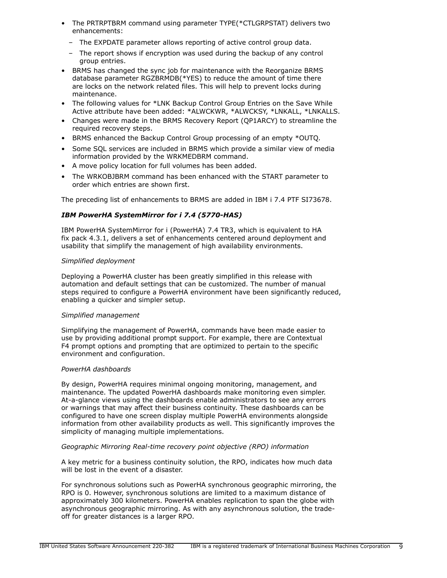- The PRTRPTBRM command using parameter TYPE(\*CTLGRPSTAT) delivers two enhancements:
	- The EXPDATE parameter allows reporting of active control group data.
	- The report shows if encryption was used during the backup of any control group entries.
- BRMS has changed the sync job for maintenance with the Reorganize BRMS database parameter RGZBRMDB(\*YES) to reduce the amount of time there are locks on the network related files. This will help to prevent locks during maintenance.
- The following values for \*LNK Backup Control Group Entries on the Save While Active attribute have been added: \*ALWCKWR, \*ALWCKSY, \*LNKALL, \*LNKALLS.
- Changes were made in the BRMS Recovery Report (QP1ARCY) to streamline the required recovery steps.
- BRMS enhanced the Backup Control Group processing of an empty \*OUTQ.
- Some SQL services are included in BRMS which provide a similar view of media information provided by the WRKMEDBRM command.
- A move policy location for full volumes has been added.
- The WRKOBJBRM command has been enhanced with the START parameter to order which entries are shown first.

The preceding list of enhancements to BRMS are added in IBM i 7.4 PTF SI73678.

# *IBM PowerHA SystemMirror for i 7.4 (5770-HAS)*

IBM PowerHA SystemMirror for i (PowerHA) 7.4 TR3, which is equivalent to HA fix pack 4.3.1, delivers a set of enhancements centered around deployment and usability that simplify the management of high availability environments.

# *Simplified deployment*

Deploying a PowerHA cluster has been greatly simplified in this release with automation and default settings that can be customized. The number of manual steps required to configure a PowerHA environment have been significantly reduced, enabling a quicker and simpler setup.

# *Simplified management*

Simplifying the management of PowerHA, commands have been made easier to use by providing additional prompt support. For example, there are Contextual F4 prompt options and prompting that are optimized to pertain to the specific environment and configuration.

# *PowerHA dashboards*

By design, PowerHA requires minimal ongoing monitoring, management, and maintenance. The updated PowerHA dashboards make monitoring even simpler. At-a-glance views using the dashboards enable administrators to see any errors or warnings that may affect their business continuity. These dashboards can be configured to have one screen display multiple PowerHA environments alongside information from other availability products as well. This significantly improves the simplicity of managing multiple implementations.

# *Geographic Mirroring Real-time recovery point objective (RPO) information*

A key metric for a business continuity solution, the RPO, indicates how much data will be lost in the event of a disaster.

For synchronous solutions such as PowerHA synchronous geographic mirroring, the RPO is 0. However, synchronous solutions are limited to a maximum distance of approximately 300 kilometers. PowerHA enables replication to span the globe with asynchronous geographic mirroring. As with any asynchronous solution, the tradeoff for greater distances is a larger RPO.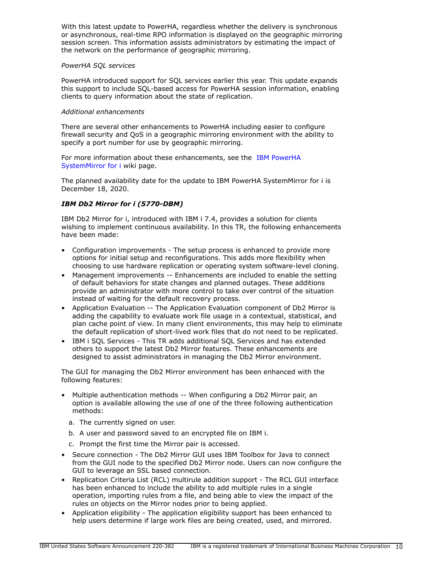With this latest update to PowerHA, regardless whether the delivery is synchronous or asynchronous, real-time RPO information is displayed on the geographic mirroring session screen. This information assists administrators by estimating the impact of the network on the performance of geographic mirroring.

### *PowerHA SQL services*

PowerHA introduced support for SQL services earlier this year. This update expands this support to include SQL-based access for PowerHA session information, enabling clients to query information about the state of replication.

## *Additional enhancements*

There are several other enhancements to PowerHA including easier to configure firewall security and QoS in a geographic mirroring environment with the ability to specify a port number for use by geographic mirroring.

For more information about these enhancements, see the [IBM PowerHA](https://ibm.biz/ibmi-powerha) [SystemMirror for i](https://ibm.biz/ibmi-powerha) wiki page.

The planned availability date for the update to IBM PowerHA SystemMirror for i is December 18, 2020.

# *IBM Db2 Mirror for i (5770-DBM)*

IBM Db2 Mirror for i, introduced with IBM i 7.4, provides a solution for clients wishing to implement continuous availability. In this TR, the following enhancements have been made:

- Configuration improvements The setup process is enhanced to provide more options for initial setup and reconfigurations. This adds more flexibility when choosing to use hardware replication or operating system software-level cloning.
- Management improvements -- Enhancements are included to enable the setting of default behaviors for state changes and planned outages. These additions provide an administrator with more control to take over control of the situation instead of waiting for the default recovery process.
- Application Evaluation -- The Application Evaluation component of Db2 Mirror is adding the capability to evaluate work file usage in a contextual, statistical, and plan cache point of view. In many client environments, this may help to eliminate the default replication of short-lived work files that do not need to be replicated.
- IBM i SQL Services This TR adds additional SQL Services and has extended others to support the latest Db2 Mirror features. These enhancements are designed to assist administrators in managing the Db2 Mirror environment.

The GUI for managing the Db2 Mirror environment has been enhanced with the following features:

- Multiple authentication methods -- When configuring a Db2 Mirror pair, an option is available allowing the use of one of the three following authentication methods:
	- a. The currently signed on user.
	- b. A user and password saved to an encrypted file on IBM i.
	- c. Prompt the first time the Mirror pair is accessed.
- Secure connection The Db2 Mirror GUI uses IBM Toolbox for Java to connect from the GUI node to the specified Db2 Mirror node. Users can now configure the GUI to leverage an SSL based connection.
- Replication Criteria List (RCL) multirule addition support The RCL GUI interface has been enhanced to include the ability to add multiple rules in a single operation, importing rules from a file, and being able to view the impact of the rules on objects on the Mirror nodes prior to being applied.
- Application eligibility The application eligibility support has been enhanced to help users determine if large work files are being created, used, and mirrored.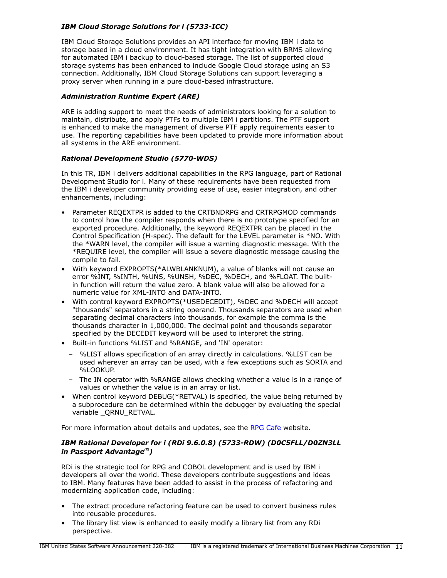# *IBM Cloud Storage Solutions for i (5733-ICC)*

IBM Cloud Storage Solutions provides an API interface for moving IBM i data to storage based in a cloud environment. It has tight integration with BRMS allowing for automated IBM i backup to cloud-based storage. The list of supported cloud storage systems has been enhanced to include Google Cloud storage using an S3 connection. Additionally, IBM Cloud Storage Solutions can support leveraging a proxy server when running in a pure cloud-based infrastructure.

# *Administration Runtime Expert (ARE)*

ARE is adding support to meet the needs of administrators looking for a solution to maintain, distribute, and apply PTFs to multiple IBM i partitions. The PTF support is enhanced to make the management of diverse PTF apply requirements easier to use. The reporting capabilities have been updated to provide more information about all systems in the ARE environment.

# *Rational Development Studio (5770-WDS)*

In this TR, IBM i delivers additional capabilities in the RPG language, part of Rational Development Studio for i. Many of these requirements have been requested from the IBM i developer community providing ease of use, easier integration, and other enhancements, including:

- Parameter REQEXTPR is added to the CRTBNDRPG and CRTRPGMOD commands to control how the compiler responds when there is no prototype specified for an exported procedure. Additionally, the keyword REQEXTPR can be placed in the Control Specification (H-spec). The default for the LEVEL parameter is \*NO. With the \*WARN level, the compiler will issue a warning diagnostic message. With the \*REQUIRE level, the compiler will issue a severe diagnostic message causing the compile to fail.
- With keyword EXPROPTS(\*ALWBLANKNUM), a value of blanks will not cause an error %INT, %INTH, %UNS, %UNSH, %DEC, %DECH, and %FLOAT. The builtin function will return the value zero. A blank value will also be allowed for a numeric value for XML-INTO and DATA-INTO.
- With control keyword EXPROPTS(\*USEDECEDIT), %DEC and %DECH will accept "thousands" separators in a string operand. Thousands separators are used when separating decimal characters into thousands, for example the comma is the thousands character in 1,000,000. The decimal point and thousands separator specified by the DECEDIT keyword will be used to interpret the string.
- Built-in functions %LIST and %RANGE, and 'IN' operator:
	- %LIST allows specification of an array directly in calculations. %LIST can be used wherever an array can be used, with a few exceptions such as SORTA and %LOOKUP.
	- The IN operator with %RANGE allows checking whether a value is in a range of values or whether the value is in an array or list.
- When control keyword DEBUG(\*RETVAL) is specified, the value being returned by a subprocedure can be determined within the debugger by evaluating the special variable QRNU RETVAL.

For more information about details and updates, see the [RPG Cafe](https://ibm.biz/rpg_cafe) website.

# *IBM Rational Developer for i (RDi 9.6.0.8) (5733-RDW) (D0C5FLL/D0ZN3LL in Passport Advantage(R))*

RDi is the strategic tool for RPG and COBOL development and is used by IBM i developers all over the world. These developers contribute suggestions and ideas to IBM. Many features have been added to assist in the process of refactoring and modernizing application code, including:

- The extract procedure refactoring feature can be used to convert business rules into reusable procedures.
- The library list view is enhanced to easily modify a library list from any RDi perspective.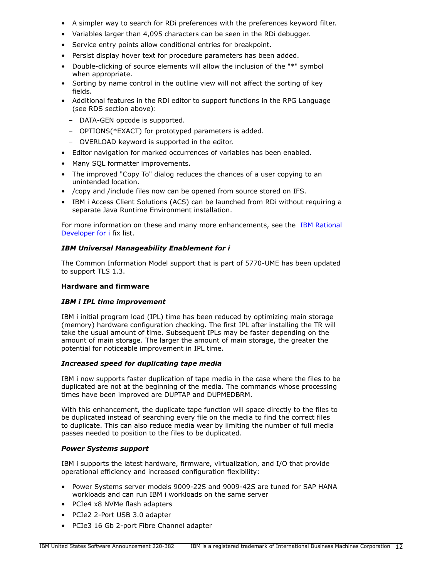- A simpler way to search for RDi preferences with the preferences keyword filter.
- Variables larger than 4,095 characters can be seen in the RDi debugger.
- Service entry points allow conditional entries for breakpoint.
- Persist display hover text for procedure parameters has been added.
- Double-clicking of source elements will allow the inclusion of the "\*" symbol when appropriate.
- Sorting by name control in the outline view will not affect the sorting of key fields.
- Additional features in the RDi editor to support functions in the RPG Language (see RDS section above):
	- DATA-GEN opcode is supported.
	- OPTIONS(\*EXACT) for prototyped parameters is added.
	- OVERLOAD keyword is supported in the editor.
- Editor navigation for marked occurrences of variables has been enabled.
- Many SQL formatter improvements.
- The improved "Copy To" dialog reduces the chances of a user copying to an unintended location.
- /copy and /include files now can be opened from source stored on IFS.
- IBM i Access Client Solutions (ACS) can be launched from RDi without requiring a separate Java Runtime Environment installation.

For more information on these and many more enhancements, see the [IBM Rational](https://www.ibm.com/support/pages/node/603339#9607) [Developer for i](https://www.ibm.com/support/pages/node/603339#9607) fix list.

# *IBM Universal Manageability Enablement for i*

The Common Information Model support that is part of 5770-UME has been updated to support TLS 1.3.

# **Hardware and firmware**

# *IBM i IPL time improvement*

IBM i initial program load (IPL) time has been reduced by optimizing main storage (memory) hardware configuration checking. The first IPL after installing the TR will take the usual amount of time. Subsequent IPLs may be faster depending on the amount of main storage. The larger the amount of main storage, the greater the potential for noticeable improvement in IPL time.

# *Increased speed for duplicating tape media*

IBM i now supports faster duplication of tape media in the case where the files to be duplicated are not at the beginning of the media. The commands whose processing times have been improved are DUPTAP and DUPMEDBRM.

With this enhancement, the duplicate tape function will space directly to the files to be duplicated instead of searching every file on the media to find the correct files to duplicate. This can also reduce media wear by limiting the number of full media passes needed to position to the files to be duplicated.

# *Power Systems support*

IBM i supports the latest hardware, firmware, virtualization, and I/O that provide operational efficiency and increased configuration flexibility:

- Power Systems server models 9009-22S and 9009-42S are tuned for SAP HANA workloads and can run IBM i workloads on the same server
- PCIe4 x8 NVMe flash adapters
- PCIe2 2-Port USB 3.0 adapter
- PCIe3 16 Gb 2-port Fibre Channel adapter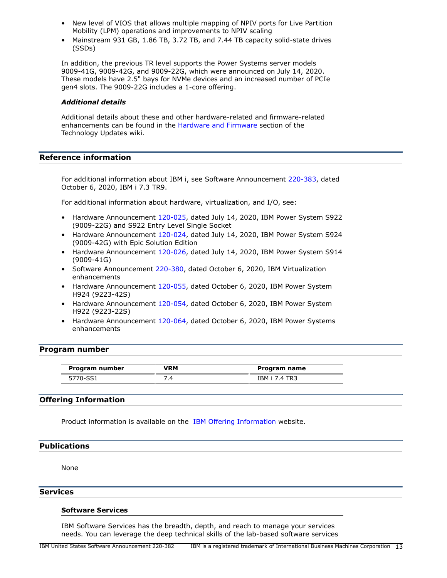- New level of VIOS that allows multiple mapping of NPIV ports for Live Partition Mobility (LPM) operations and improvements to NPIV scaling
- Mainstream 931 GB, 1.86 TB, 3.72 TB, and 7.44 TB capacity solid-state drives (SSDs)

In addition, the previous TR level supports the Power Systems server models 9009-41G, 9009-42G, and 9009-22G, which were announced on July 14, 2020. These models have 2.5" bays for NVMe devices and an increased number of PCIe gen4 slots. The 9009-22G includes a 1-core offering.

#### *Additional details*

Additional details about these and other hardware-related and firmware-related enhancements can be found in the [Hardware and Firmware](https://www.ibm.com/support/pages/node/1128525) section of the Technology Updates wiki.

# **Reference information**

For additional information about IBM i, see Software Announcement [220-383](http://www.ibm.com/common/ssi/cgi-bin/ssialias?infotype=an&subtype=ca&appname=gpateam&supplier=897&letternum=ENUS220-383), dated October 6, 2020, IBM i 7.3 TR9.

For additional information about hardware, virtualization, and I/O, see:

- Hardware Announcement [120-025,](http://www.ibm.com/common/ssi/cgi-bin/ssialias?infotype=an&subtype=ca&appname=gpateam&supplier=897&letternum=ENUS120-025) dated July 14, 2020, IBM Power System S922 (9009-22G) and S922 Entry Level Single Socket
- Hardware Announcement [120-024,](http://www.ibm.com/common/ssi/cgi-bin/ssialias?infotype=an&subtype=ca&appname=gpateam&supplier=897&letternum=ENUS120-024) dated July 14, 2020, IBM Power System S924 (9009-42G) with Epic Solution Edition
- Hardware Announcement [120-026,](http://www.ibm.com/common/ssi/cgi-bin/ssialias?infotype=an&subtype=ca&appname=gpateam&supplier=897&letternum=ENUS120-026) dated July 14, 2020, IBM Power System S914 (9009-41G)
- Software Announcement [220-380,](http://www.ibm.com/common/ssi/cgi-bin/ssialias?infotype=an&subtype=ca&appname=gpateam&supplier=897&letternum=ENUS220-380) dated October 6, 2020, IBM Virtualization enhancements
- Hardware Announcement [120-055,](http://www.ibm.com/common/ssi/cgi-bin/ssialias?infotype=an&subtype=ca&appname=gpateam&supplier=897&letternum=ENUS120-055) dated October 6, 2020, IBM Power System H924 (9223-42S)
- Hardware Announcement [120-054,](http://www.ibm.com/common/ssi/cgi-bin/ssialias?infotype=an&subtype=ca&appname=gpateam&supplier=897&letternum=ENUS120-054) dated October 6, 2020, IBM Power System H922 (9223-22S)
- Hardware Announcement [120-064,](http://www.ibm.com/common/ssi/cgi-bin/ssialias?infotype=an&subtype=ca&appname=gpateam&supplier=897&letternum=ENUS120-064) dated October 6, 2020, IBM Power Systems enhancements

### <span id="page-12-1"></span>**Program number**

| Program number | /RM | Program name         |
|----------------|-----|----------------------|
| 5770-SS1       |     | <b>IBM i 7.4 TR3</b> |

# **Offering Information**

Product information is available on the [IBM Offering Information](http://www.ibm.com/common/ssi) website.

# <span id="page-12-0"></span>**Publications**

None

### **Services**

### **Software Services**

IBM Software Services has the breadth, depth, and reach to manage your services needs. You can leverage the deep technical skills of the lab-based software services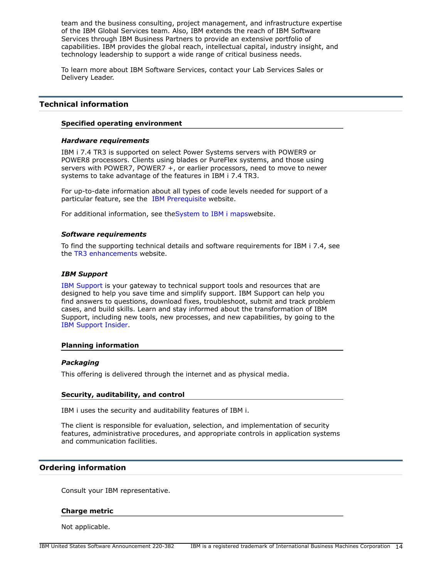team and the business consulting, project management, and infrastructure expertise of the IBM Global Services team. Also, IBM extends the reach of IBM Software Services through IBM Business Partners to provide an extensive portfolio of capabilities. IBM provides the global reach, intellectual capital, industry insight, and technology leadership to support a wide range of critical business needs.

To learn more about IBM Software Services, contact your Lab Services Sales or Delivery Leader.

# <span id="page-13-0"></span>**Technical information**

### **Specified operating environment**

### *Hardware requirements*

IBM i 7.4 TR3 is supported on select Power Systems servers with POWER9 or POWER8 processors. Clients using blades or PureFlex systems, and those using servers with POWER7, POWER7 +, or earlier processors, need to move to newer systems to take advantage of the features in IBM i 7.4 TR3.

For up-to-date information about all types of code levels needed for support of a particular feature, see the [IBM Prerequisite](https://www-912.ibm.com/e_dir/eServerPrereq.nsf) website.

For additional information, see the System to IBM i mapswebsite.

### *Software requirements*

To find the supporting technical details and software requirements for IBM i 7.4, see the [TR3 enhancements](https://www.ibm.com/ibmi/techupdates/i74-tr3) website.

#### *IBM Support*

[IBM Support](https://www.ibm.com/support) is your gateway to technical support tools and resources that are designed to help you save time and simplify support. IBM Support can help you find answers to questions, download fixes, troubleshoot, submit and track problem cases, and build skills. Learn and stay informed about the transformation of IBM Support, including new tools, new processes, and new capabilities, by going to the [IBM Support Insider](https://www.ibm.com/support/insider).

### **Planning information**

### *Packaging*

This offering is delivered through the internet and as physical media.

#### **Security, auditability, and control**

IBM i uses the security and auditability features of IBM i.

The client is responsible for evaluation, selection, and implementation of security features, administrative procedures, and appropriate controls in application systems and communication facilities.

### <span id="page-13-1"></span>**Ordering information**

Consult your IBM representative.

### **Charge metric**

Not applicable.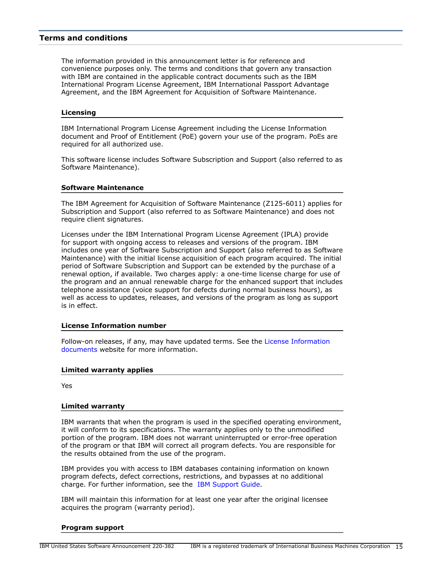# <span id="page-14-0"></span>**Terms and conditions**

The information provided in this announcement letter is for reference and convenience purposes only. The terms and conditions that govern any transaction with IBM are contained in the applicable contract documents such as the IBM International Program License Agreement, IBM International Passport Advantage Agreement, and the IBM Agreement for Acquisition of Software Maintenance.

#### **Licensing**

IBM International Program License Agreement including the License Information document and Proof of Entitlement (PoE) govern your use of the program. PoEs are required for all authorized use.

This software license includes Software Subscription and Support (also referred to as Software Maintenance).

#### **Software Maintenance**

The IBM Agreement for Acquisition of Software Maintenance (Z125-6011) applies for Subscription and Support (also referred to as Software Maintenance) and does not require client signatures.

Licenses under the IBM International Program License Agreement (IPLA) provide for support with ongoing access to releases and versions of the program. IBM includes one year of Software Subscription and Support (also referred to as Software Maintenance) with the initial license acquisition of each program acquired. The initial period of Software Subscription and Support can be extended by the purchase of a renewal option, if available. Two charges apply: a one-time license charge for use of the program and an annual renewable charge for the enhanced support that includes telephone assistance (voice support for defects during normal business hours), as well as access to updates, releases, and versions of the program as long as support is in effect.

### **License Information number**

Follow-on releases, if any, may have updated terms. See the [License Information](https://www.ibm.com/software/sla/sladb.nsf/search?OpenForm) [documents](https://www.ibm.com/software/sla/sladb.nsf/search?OpenForm) website for more information.

#### **Limited warranty applies**

Yes

### **Limited warranty**

IBM warrants that when the program is used in the specified operating environment, it will conform to its specifications. The warranty applies only to the unmodified portion of the program. IBM does not warrant uninterrupted or error-free operation of the program or that IBM will correct all program defects. You are responsible for the results obtained from the use of the program.

IBM provides you with access to IBM databases containing information on known program defects, defect corrections, restrictions, and bypasses at no additional charge. For further information, see the [IBM Support Guide](http://www.ibm.com/support/customercare/sas/f/handbook/home.html).

IBM will maintain this information for at least one year after the original licensee acquires the program (warranty period).

#### **Program support**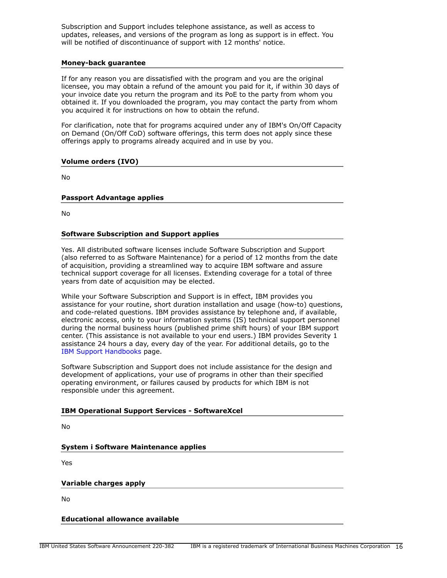Subscription and Support includes telephone assistance, as well as access to updates, releases, and versions of the program as long as support is in effect. You will be notified of discontinuance of support with 12 months' notice.

### **Money-back guarantee**

If for any reason you are dissatisfied with the program and you are the original licensee, you may obtain a refund of the amount you paid for it, if within 30 days of your invoice date you return the program and its PoE to the party from whom you obtained it. If you downloaded the program, you may contact the party from whom you acquired it for instructions on how to obtain the refund.

For clarification, note that for programs acquired under any of IBM's On/Off Capacity on Demand (On/Off CoD) software offerings, this term does not apply since these offerings apply to programs already acquired and in use by you.

## **Volume orders (IVO)**

No

## **Passport Advantage applies**

No

## **Software Subscription and Support applies**

Yes. All distributed software licenses include Software Subscription and Support (also referred to as Software Maintenance) for a period of 12 months from the date of acquisition, providing a streamlined way to acquire IBM software and assure technical support coverage for all licenses. Extending coverage for a total of three years from date of acquisition may be elected.

While your Software Subscription and Support is in effect, IBM provides you assistance for your routine, short duration installation and usage (how-to) questions, and code-related questions. IBM provides assistance by telephone and, if available, electronic access, only to your information systems (IS) technical support personnel during the normal business hours (published prime shift hours) of your IBM support center. (This assistance is not available to your end users.) IBM provides Severity 1 assistance 24 hours a day, every day of the year. For additional details, go to the [IBM Support Handbooks](http://www.ibm.com/support/handbook) page.

Software Subscription and Support does not include assistance for the design and development of applications, your use of programs in other than their specified operating environment, or failures caused by products for which IBM is not responsible under this agreement.

### **IBM Operational Support Services - SoftwareXcel**

No

**System i Software Maintenance applies**

Yes

### **Variable charges apply**

No

**Educational allowance available**